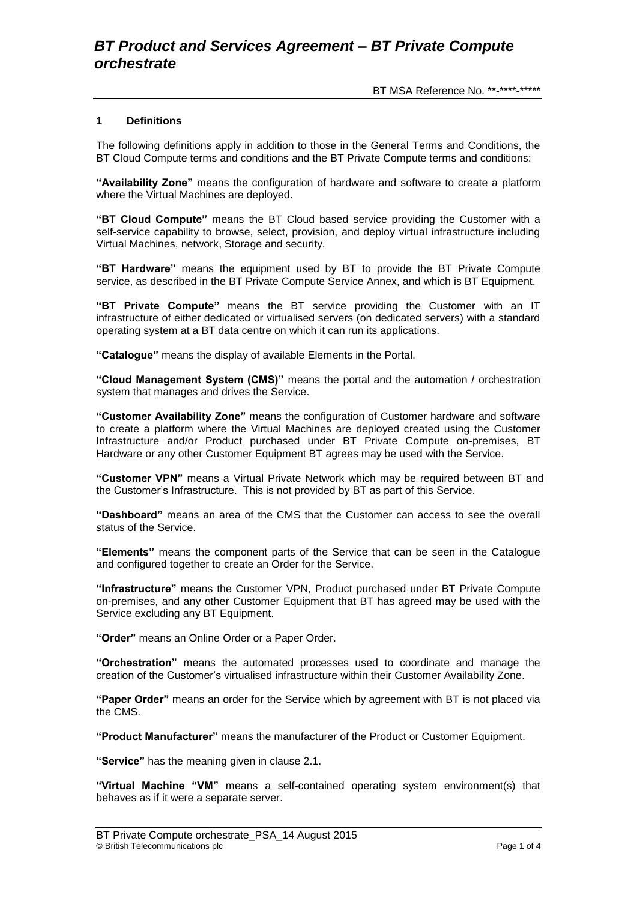BT MSA Reference No. \*\*-\*\*\*\*-\*\*\*\*\*

## **1 Definitions**

The following definitions apply in addition to those in the General Terms and Conditions, the BT Cloud Compute terms and conditions and the BT Private Compute terms and conditions:

**"Availability Zone"** means the configuration of hardware and software to create a platform where the Virtual Machines are deployed.

**"BT Cloud Compute"** means the BT Cloud based service providing the Customer with a self-service capability to browse, select, provision, and deploy virtual infrastructure including Virtual Machines, network, Storage and security.

**"BT Hardware"** means the equipment used by BT to provide the BT Private Compute service, as described in the BT Private Compute Service Annex, and which is BT Equipment.

**"BT Private Compute"** means the BT service providing the Customer with an IT infrastructure of either dedicated or virtualised servers (on dedicated servers) with a standard operating system at a BT data centre on which it can run its applications.

**"Catalogue"** means the display of available Elements in the Portal.

**"Cloud Management System (CMS)"** means the portal and the automation / orchestration system that manages and drives the Service.

**"Customer Availability Zone"** means the configuration of Customer hardware and software to create a platform where the Virtual Machines are deployed created using the Customer Infrastructure and/or Product purchased under BT Private Compute on-premises, BT Hardware or any other Customer Equipment BT agrees may be used with the Service.

**"Customer VPN"** means a Virtual Private Network which may be required between BT and the Customer's Infrastructure. This is not provided by BT as part of this Service.

**"Dashboard"** means an area of the CMS that the Customer can access to see the overall status of the Service.

**"Elements"** means the component parts of the Service that can be seen in the Catalogue and configured together to create an Order for the Service.

**"Infrastructure"** means the Customer VPN, Product purchased under BT Private Compute on-premises, and any other Customer Equipment that BT has agreed may be used with the Service excluding any BT Equipment.

**"Order"** means an Online Order or a Paper Order.

**"Orchestration"** means the automated processes used to coordinate and manage the creation of the Customer's virtualised infrastructure within their Customer Availability Zone.

**"Paper Order"** means an order for the Service which by agreement with BT is not placed via the CMS.

**"Product Manufacturer"** means the manufacturer of the Product or Customer Equipment.

**"Service"** has the meaning given in clause 2.1.

**"Virtual Machine "VM"** means a self-contained operating system environment(s) that behaves as if it were a separate server.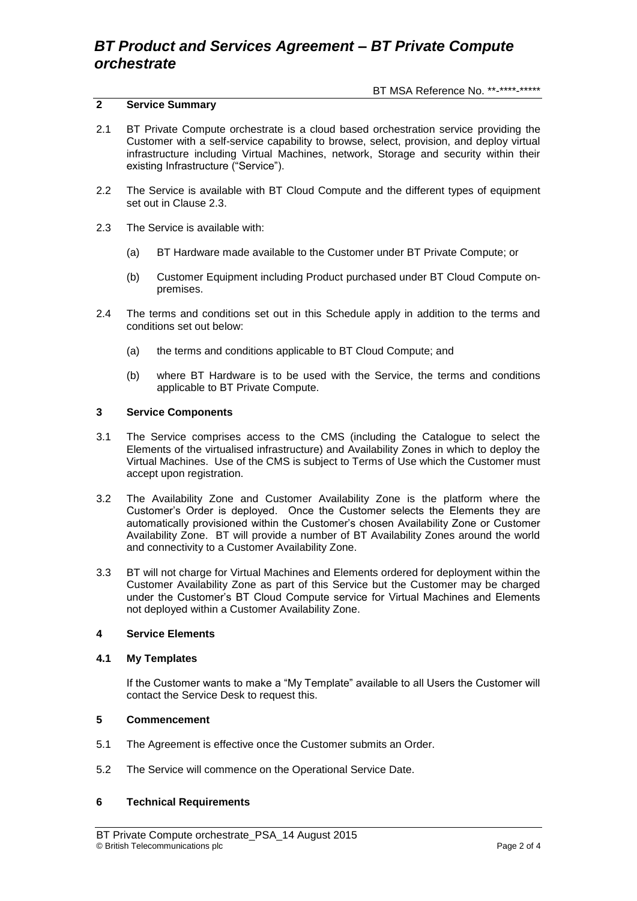# *BT Product and Services Agreement – BT Private Compute orchestrate*

BT MSA Reference No. \*\*-\*\*\*\*-\*\*\*\*\*

## **2 Service Summary**

- 2.1 BT Private Compute orchestrate is a cloud based orchestration service providing the Customer with a self-service capability to browse, select, provision, and deploy virtual infrastructure including Virtual Machines, network, Storage and security within their existing Infrastructure ("Service").
- 2.2 The Service is available with BT Cloud Compute and the different types of equipment set out in Clause 2.3.
- 2.3 The Service is available with:
	- (a) BT Hardware made available to the Customer under BT Private Compute; or
	- (b) Customer Equipment including Product purchased under BT Cloud Compute onpremises.
- 2.4 The terms and conditions set out in this Schedule apply in addition to the terms and conditions set out below:
	- (a) the terms and conditions applicable to BT Cloud Compute; and
	- (b) where BT Hardware is to be used with the Service, the terms and conditions applicable to BT Private Compute.

## **3 Service Components**

- 3.1 The Service comprises access to the CMS (including the Catalogue to select the Elements of the virtualised infrastructure) and Availability Zones in which to deploy the Virtual Machines. Use of the CMS is subject to Terms of Use which the Customer must accept upon registration.
- 3.2 The Availability Zone and Customer Availability Zone is the platform where the Customer's Order is deployed. Once the Customer selects the Elements they are automatically provisioned within the Customer's chosen Availability Zone or Customer Availability Zone. BT will provide a number of BT Availability Zones around the world and connectivity to a Customer Availability Zone.
- 3.3 BT will not charge for Virtual Machines and Elements ordered for deployment within the Customer Availability Zone as part of this Service but the Customer may be charged under the Customer's BT Cloud Compute service for Virtual Machines and Elements not deployed within a Customer Availability Zone.

## **4 Service Elements**

## **4.1 My Templates**

If the Customer wants to make a "My Template" available to all Users the Customer will contact the Service Desk to request this.

## **5 Commencement**

- 5.1 The Agreement is effective once the Customer submits an Order.
- 5.2 The Service will commence on the Operational Service Date.

## **6 Technical Requirements**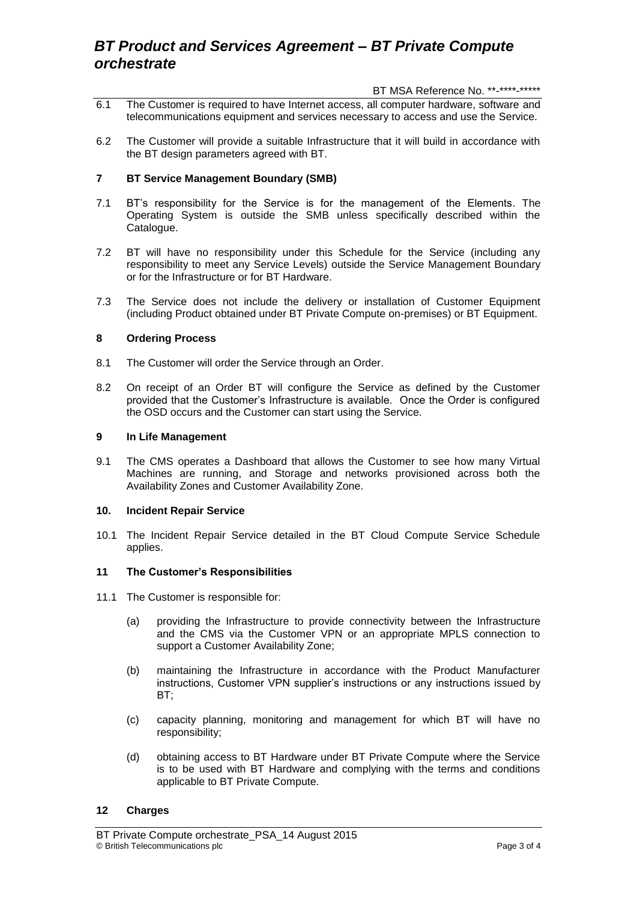# *BT Product and Services Agreement – BT Private Compute orchestrate*

BT MSA Reference No. \*\*-\*\*\*\*-\*\*\*\*\*

- 6.1 The Customer is required to have Internet access, all computer hardware, software and telecommunications equipment and services necessary to access and use the Service.
- 6.2 The Customer will provide a suitable Infrastructure that it will build in accordance with the BT design parameters agreed with BT.

## **7 BT Service Management Boundary (SMB)**

- 7.1 BT's responsibility for the Service is for the management of the Elements. The Operating System is outside the SMB unless specifically described within the Catalogue.
- 7.2 BT will have no responsibility under this Schedule for the Service (including any responsibility to meet any Service Levels) outside the Service Management Boundary or for the Infrastructure or for BT Hardware.
- 7.3 The Service does not include the delivery or installation of Customer Equipment (including Product obtained under BT Private Compute on-premises) or BT Equipment.

## **8 Ordering Process**

- 8.1 The Customer will order the Service through an Order.
- 8.2 On receipt of an Order BT will configure the Service as defined by the Customer provided that the Customer's Infrastructure is available. Once the Order is configured the OSD occurs and the Customer can start using the Service.

## **9 In Life Management**

9.1 The CMS operates a Dashboard that allows the Customer to see how many Virtual Machines are running, and Storage and networks provisioned across both the Availability Zones and Customer Availability Zone.

## **10. Incident Repair Service**

10.1 The Incident Repair Service detailed in the BT Cloud Compute Service Schedule applies.

## **11 The Customer's Responsibilities**

- 11.1 The Customer is responsible for:
	- (a) providing the Infrastructure to provide connectivity between the Infrastructure and the CMS via the Customer VPN or an appropriate MPLS connection to support a Customer Availability Zone;
	- (b) maintaining the Infrastructure in accordance with the Product Manufacturer instructions, Customer VPN supplier's instructions or any instructions issued by BT;
	- (c) capacity planning, monitoring and management for which BT will have no responsibility;
	- (d) obtaining access to BT Hardware under BT Private Compute where the Service is to be used with BT Hardware and complying with the terms and conditions applicable to BT Private Compute.

## **12 Charges**